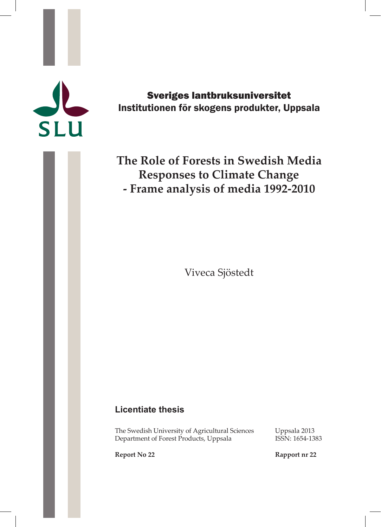# SLU

Sveriges lantbruksuniversitet Institutionen för skogens produkter, Uppsala

# **The Role of Forests in Swedish Media Responses to Climate Change - Frame analysis of media 1992-2010**

Viveca Sjöstedt

# **Licentiate thesis**

The Swedish University of Agricultural Sciences Uppsala 2013<br>Department of Forest Products, Uppsala 1SSN: 1654-1383 Department of Forest Products, Uppsala

**Report No 22 Rapport nr 22**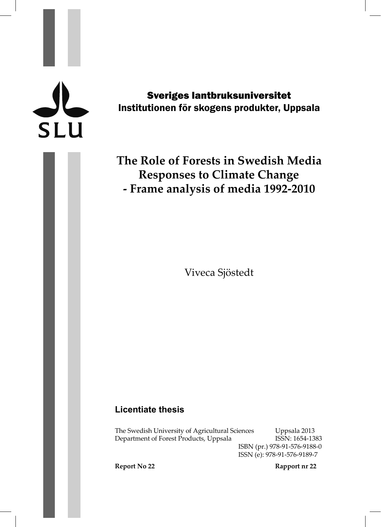# **SLU**

Sveriges lantbruksuniversitet Institutionen för skogens produkter, Uppsala

# **The Role of Forests in Swedish Media Responses to Climate Change - Frame analysis of media 1992-2010**

Viveca Sjöstedt

# **Licentiate thesis**

The Swedish University of Agricultural Sciences Uppsala 2013 Department of Forest Products, Uppsala ISSN: 1654-1383

ISBN (pr.) 978-91-576-9188-0 ISSN (e): 978-91-576-9189-7

**Report No 22 Rapport nr 22**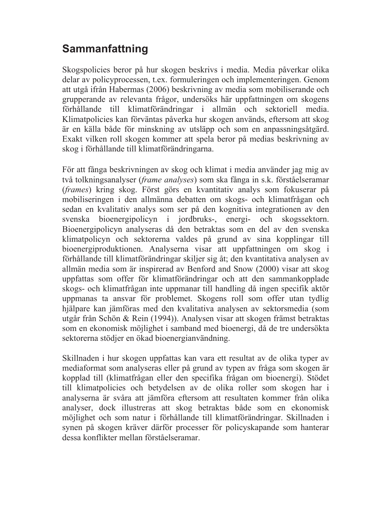# **Sammanfattning**

Skogspolicies beror på hur skogen beskrivs i media. Media påverkar olika delar av policyprocessen, t.ex. formuleringen och implementeringen. Genom att utgå ifrån Habermas (2006) beskrivning av media som mobiliserande och grupperande av relevanta frågor, undersöks här uppfattningen om skogens förhållande till klimatförändringar i allmän och sektoriell media. Klimatpolicies kan förväntas påverka hur skogen används, eftersom att skog är en källa både för minskning av utsläpp och som en anpassningsåtgärd. Exakt vilken roll skogen kommer att spela beror på medias beskrivning av skog i förhållande till klimatförändringarna.

För att fånga beskrivningen av skog och klimat i media använder jag mig av två tolkningsanalyser (*frame analyses*) som ska fånga in s.k. förståelseramar (*frames*) kring skog. Först görs en kvantitativ analys som fokuserar på mobiliseringen i den allmänna debatten om skogs- och klimatfrågan och sedan en kvalitativ analys som ser på den kognitiva integrationen av den svenska bioenergipolicyn i jordbruks-, energi- och skogssektorn. Bioenergipolicyn analyseras då den betraktas som en del av den svenska klimatpolicyn och sektorerna valdes på grund av sina kopplingar till bioenergiproduktionen. Analyserna visar att uppfattningen om skog i förhållande till klimatförändringar skiljer sig åt; den kvantitativa analysen av allmän media som är inspirerad av Benford and Snow (2000) visar att skog uppfattas som offer för klimatförändringar och att den sammankopplade skogs- och klimatfrågan inte uppmanar till handling då ingen specifik aktör uppmanas ta ansvar för problemet. Skogens roll som offer utan tydlig hjälpare kan jämföras med den kvalitativa analysen av sektorsmedia (som utgår från Schön & Rein (1994)). Analysen visar att skogen främst betraktas som en ekonomisk möjlighet i samband med bioenergi, då de tre undersökta sektorerna stödjer en ökad bioenergianvändning.

Skillnaden i hur skogen uppfattas kan vara ett resultat av de olika typer av mediaformat som analyseras eller på grund av typen av fråga som skogen är kopplad till (klimatfrågan eller den specifika frågan om bioenergi). Stödet till klimatpolicies och betydelsen av de olika roller som skogen har i analyserna är svåra att jämföra eftersom att resultaten kommer från olika analyser, dock illustreras att skog betraktas både som en ekonomisk möjlighet och som natur i förhållande till klimatförändringar. Skillnaden i synen på skogen kräver därför processer för policyskapande som hanterar dessa konflikter mellan förståelseramar.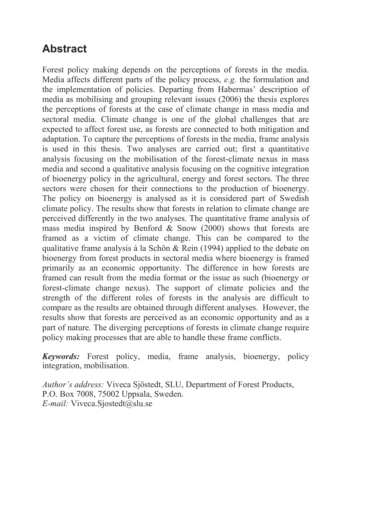# **Abstract**

Forest policy making depends on the perceptions of forests in the media. Media affects different parts of the policy process, *e.g.* the formulation and the implementation of policies. Departing from Habermas' description of media as mobilising and grouping relevant issues (2006) the thesis explores the perceptions of forests at the case of climate change in mass media and sectoral media. Climate change is one of the global challenges that are expected to affect forest use, as forests are connected to both mitigation and adaptation. To capture the perceptions of forests in the media, frame analysis is used in this thesis. Two analyses are carried out; first a quantitative analysis focusing on the mobilisation of the forest-climate nexus in mass media and second a qualitative analysis focusing on the cognitive integration of bioenergy policy in the agricultural, energy and forest sectors. The three sectors were chosen for their connections to the production of bioenergy. The policy on bioenergy is analysed as it is considered part of Swedish climate policy. The results show that forests in relation to climate change are perceived differently in the two analyses. The quantitative frame analysis of mass media inspired by Benford & Snow (2000) shows that forests are framed as a victim of climate change. This can be compared to the qualitative frame analysis á la Schön & Rein (1994) applied to the debate on bioenergy from forest products in sectoral media where bioenergy is framed primarily as an economic opportunity. The difference in how forests are framed can result from the media format or the issue as such (bioenergy or forest-climate change nexus). The support of climate policies and the strength of the different roles of forests in the analysis are difficult to compare as the results are obtained through different analyses. However, the results show that forests are perceived as an economic opportunity and as a part of nature. The diverging perceptions of forests in climate change require policy making processes that are able to handle these frame conflicts.

*Keywords:* Forest policy, media, frame analysis, bioenergy, policy integration, mobilisation.

*Author's address:* Viveca Sjöstedt, SLU, Department of Forest Products, P.O. Box 7008, 75002 Uppsala, Sweden. *E-mail:* Viveca.Sjostedt@slu.se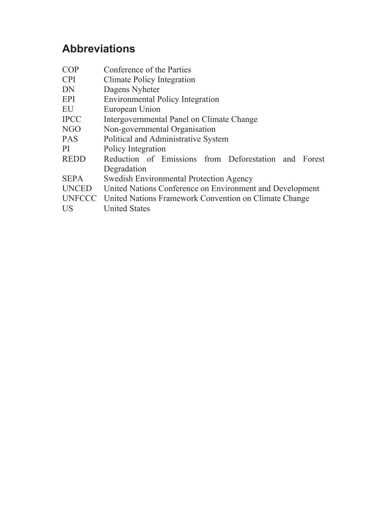# **Abbreviations**

| <b>COP</b>   | Conference of the Parties                                    |  |  |  |
|--------------|--------------------------------------------------------------|--|--|--|
| <b>CPI</b>   | Climate Policy Integration                                   |  |  |  |
| DN           | Dagens Nyheter                                               |  |  |  |
| <b>EPI</b>   | <b>Environmental Policy Integration</b>                      |  |  |  |
| EU           | European Union                                               |  |  |  |
| <b>IPCC</b>  | Intergovernmental Panel on Climate Change                    |  |  |  |
| NGO          | Non-governmental Organisation                                |  |  |  |
| <b>PAS</b>   | Political and Administrative System                          |  |  |  |
| PI           | Policy Integration                                           |  |  |  |
| <b>REDD</b>  | Reduction of Emissions from Deforestation and Forest         |  |  |  |
|              | Degradation                                                  |  |  |  |
| <b>SEPA</b>  | Swedish Environmental Protection Agency                      |  |  |  |
| <b>UNCED</b> | United Nations Conference on Environment and Development     |  |  |  |
|              | UNFCCC United Nations Framework Convention on Climate Change |  |  |  |
| US           | <b>United States</b>                                         |  |  |  |
|              |                                                              |  |  |  |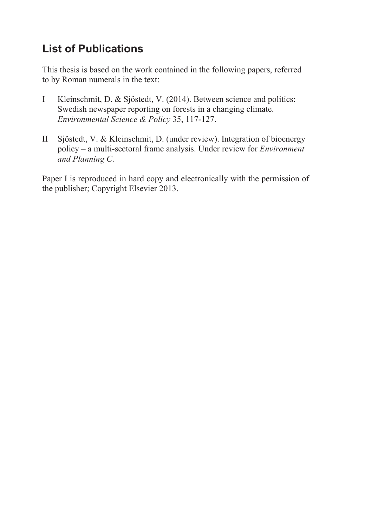# **List of Publications**

This thesis is based on the work contained in the following papers, referred to by Roman numerals in the text:

- I Kleinschmit, D. & Sjöstedt, V. (2014). Between science and politics: Swedish newspaper reporting on forests in a changing climate. *Environmental Science & Policy* 35, 117-127.
- II Sjöstedt, V. & Kleinschmit, D. (under review). Integration of bioenergy policy – a multi-sectoral frame analysis. Under review for *Environment and Planning C*.

Paper I is reproduced in hard copy and electronically with the permission of the publisher; Copyright Elsevier 2013.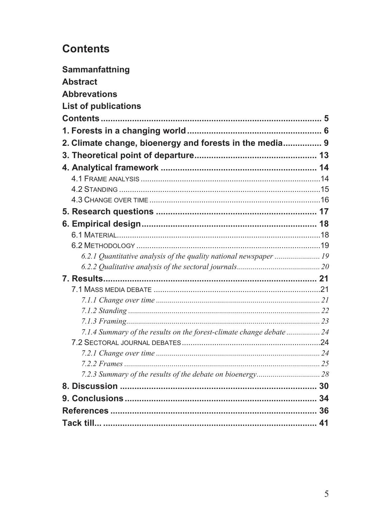# **Contents**

| Sammanfattning                                                       |  |  |
|----------------------------------------------------------------------|--|--|
| <b>Abstract</b>                                                      |  |  |
| <b>Abbrevations</b>                                                  |  |  |
| <b>List of publications</b>                                          |  |  |
|                                                                      |  |  |
|                                                                      |  |  |
| 2. Climate change, bioenergy and forests in the media 9              |  |  |
|                                                                      |  |  |
|                                                                      |  |  |
|                                                                      |  |  |
|                                                                      |  |  |
|                                                                      |  |  |
|                                                                      |  |  |
|                                                                      |  |  |
|                                                                      |  |  |
|                                                                      |  |  |
|                                                                      |  |  |
|                                                                      |  |  |
|                                                                      |  |  |
|                                                                      |  |  |
|                                                                      |  |  |
|                                                                      |  |  |
|                                                                      |  |  |
| 7.1.4 Summary of the results on the forest-climate change debate  24 |  |  |
|                                                                      |  |  |
|                                                                      |  |  |
|                                                                      |  |  |
|                                                                      |  |  |
|                                                                      |  |  |
|                                                                      |  |  |
|                                                                      |  |  |
|                                                                      |  |  |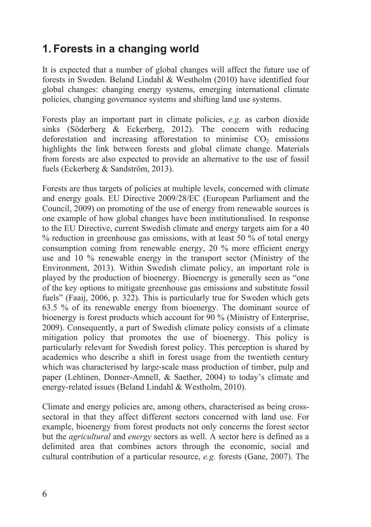# **1. Forests in a changing world**

It is expected that a number of global changes will affect the future use of forests in Sweden. Beland Lindahl & Westholm (2010) have identified four global changes: changing energy systems, emerging international climate policies, changing governance systems and shifting land use systems.

Forests play an important part in climate policies, *e.g.* as carbon dioxide sinks (Söderberg & Eckerberg, 2012). The concern with reducing deforestation and increasing afforestation to minimise  $CO<sub>2</sub>$  emissions highlights the link between forests and global climate change. Materials from forests are also expected to provide an alternative to the use of fossil fuels (Eckerberg & Sandström, 2013).

Forests are thus targets of policies at multiple levels, concerned with climate and energy goals. EU Directive 2009/28/EC (European Parliament and the Council, 2009) on promoting of the use of energy from renewable sources is one example of how global changes have been institutionalised. In response to the EU Directive, current Swedish climate and energy targets aim for a 40 % reduction in greenhouse gas emissions, with at least 50 % of total energy consumption coming from renewable energy, 20 % more efficient energy use and 10 % renewable energy in the transport sector (Ministry of the Environment, 2013). Within Swedish climate policy, an important role is played by the production of bioenergy. Bioenergy is generally seen as "one of the key options to mitigate greenhouse gas emissions and substitute fossil fuels" (Faaij, 2006, p. 322). This is particularly true for Sweden which gets 63.5 % of its renewable energy from bioenergy. The dominant source of bioenergy is forest products which account for 90 % (Ministry of Enterprise, 2009). Consequently, a part of Swedish climate policy consists of a climate mitigation policy that promotes the use of bioenergy. This policy is particularly relevant for Swedish forest policy. This perception is shared by academics who describe a shift in forest usage from the twentieth century which was characterised by large-scale mass production of timber, pulp and paper (Lehtinen, Donner-Amnell, & Saether, 2004) to today's climate and energy-related issues (Beland Lindahl & Westholm, 2010).

Climate and energy policies are, among others, characterised as being crosssectoral in that they affect different sectors concerned with land use. For example, bioenergy from forest products not only concerns the forest sector but the *agricultural* and *energy* sectors as well. A sector here is defined as a delimited area that combines actors through the economic, social and cultural contribution of a particular resource, *e.g.* forests (Gane, 2007). The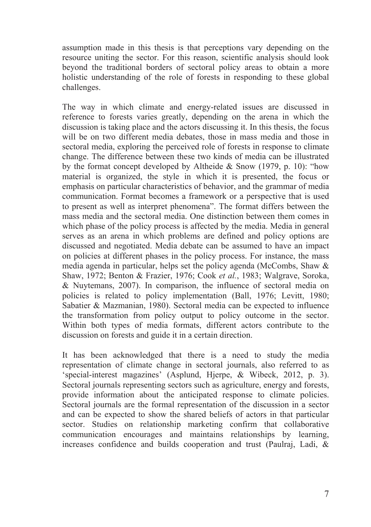assumption made in this thesis is that perceptions vary depending on the resource uniting the sector. For this reason, scientific analysis should look beyond the traditional borders of sectoral policy areas to obtain a more holistic understanding of the role of forests in responding to these global challenges.

The way in which climate and energy-related issues are discussed in reference to forests varies greatly, depending on the arena in which the discussion is taking place and the actors discussing it. In this thesis, the focus will be on two different media debates, those in mass media and those in sectoral media, exploring the perceived role of forests in response to climate change. The difference between these two kinds of media can be illustrated by the format concept developed by Altheide & Snow (1979, p. 10): "how material is organized, the style in which it is presented, the focus or emphasis on particular characteristics of behavior, and the grammar of media communication. Format becomes a framework or a perspective that is used to present as well as interpret phenomena". The format differs between the mass media and the sectoral media. One distinction between them comes in which phase of the policy process is affected by the media. Media in general serves as an arena in which problems are defined and policy options are discussed and negotiated. Media debate can be assumed to have an impact on policies at different phases in the policy process. For instance, the mass media agenda in particular, helps set the policy agenda (McCombs, Shaw & Shaw, 1972; Benton & Frazier, 1976; Cook *et al.*, 1983; Walgrave, Soroka, & Nuytemans, 2007). In comparison, the influence of sectoral media on policies is related to policy implementation (Ball, 1976; Levitt, 1980; Sabatier & Mazmanian, 1980). Sectoral media can be expected to influence the transformation from policy output to policy outcome in the sector. Within both types of media formats, different actors contribute to the discussion on forests and guide it in a certain direction.

It has been acknowledged that there is a need to study the media representation of climate change in sectoral journals, also referred to as 'special-interest magazines' (Asplund, Hjerpe, & Wibeck, 2012, p. 3). Sectoral journals representing sectors such as agriculture, energy and forests, provide information about the anticipated response to climate policies. Sectoral journals are the formal representation of the discussion in a sector and can be expected to show the shared beliefs of actors in that particular sector. Studies on relationship marketing confirm that collaborative communication encourages and maintains relationships by learning, increases confidence and builds cooperation and trust (Paulraj, Ladi, &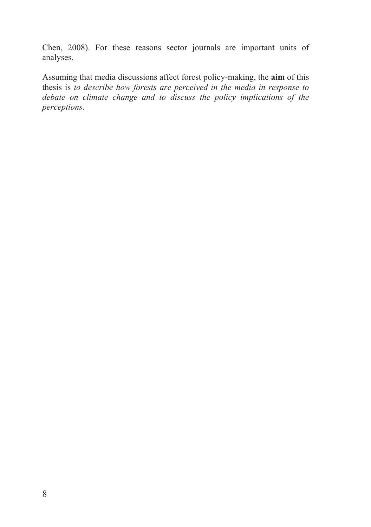Chen, 2008). For these reasons sector journals are important units of analyses.

Assuming that media discussions affect forest policy-making, the **aim** of this thesis is *to describe how forests are perceived in the media in response to debate on climate change and to discuss the policy implications of the perceptions*.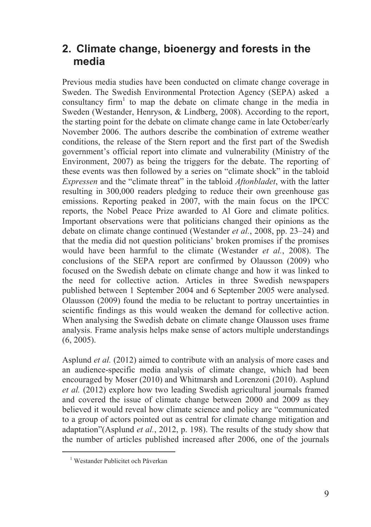# **2. Climate change, bioenergy and forests in the media**

Previous media studies have been conducted on climate change coverage in Sweden. The Swedish Environmental Protection Agency (SEPA) asked a consultancy firm<sup>1</sup> to map the debate on climate change in the media in Sweden (Westander, Henryson, & Lindberg, 2008). According to the report, the starting point for the debate on climate change came in late October/early November 2006. The authors describe the combination of extreme weather conditions, the release of the Stern report and the first part of the Swedish government's official report into climate and vulnerability (Ministry of the Environment, 2007) as being the triggers for the debate. The reporting of these events was then followed by a series on "climate shock" in the tabloid *Expressen* and the "climate threat" in the tabloid *Aftonbladet*, with the latter resulting in 300,000 readers pledging to reduce their own greenhouse gas emissions. Reporting peaked in 2007, with the main focus on the IPCC reports, the Nobel Peace Prize awarded to Al Gore and climate politics. Important observations were that politicians changed their opinions as the debate on climate change continued (Westander *et al.*, 2008, pp. 23–24) and that the media did not question politicians' broken promises if the promises would have been harmful to the climate (Westander *et al.*, 2008). The conclusions of the SEPA report are confirmed by Olausson (2009) who focused on the Swedish debate on climate change and how it was linked to the need for collective action. Articles in three Swedish newspapers published between 1 September 2004 and 6 September 2005 were analysed. Olausson (2009) found the media to be reluctant to portray uncertainties in scientific findings as this would weaken the demand for collective action. When analysing the Swedish debate on climate change Olausson uses frame analysis. Frame analysis helps make sense of actors multiple understandings (6, 2005).

Asplund *et al.* (2012) aimed to contribute with an analysis of more cases and an audience-specific media analysis of climate change, which had been encouraged by Moser (2010) and Whitmarsh and Lorenzoni (2010). Asplund *et al.* (2012) explore how two leading Swedish agricultural journals framed and covered the issue of climate change between 2000 and 2009 as they believed it would reveal how climate science and policy are "communicated to a group of actors pointed out as central for climate change mitigation and adaptation"(Asplund *et al.*, 2012, p. 198). The results of the study show that the number of articles published increased after 2006, one of the journals

 $\frac{1}{1}$ Westander Publicitet och Påverkan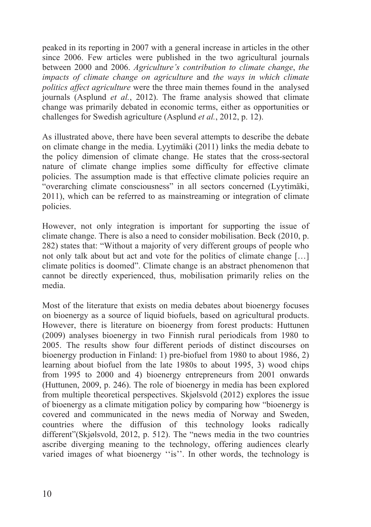peaked in its reporting in 2007 with a general increase in articles in the other since 2006. Few articles were published in the two agricultural journals between 2000 and 2006. *Agriculture's contribution to climate change*, *the impacts of climate change on agriculture* and *the ways in which climate politics affect agriculture* were the three main themes found in the analysed journals (Asplund *et al.*, 2012). The frame analysis showed that climate change was primarily debated in economic terms, either as opportunities or challenges for Swedish agriculture (Asplund *et al.*, 2012, p. 12).

As illustrated above, there have been several attempts to describe the debate on climate change in the media. Lyytimäki (2011) links the media debate to the policy dimension of climate change. He states that the cross-sectoral nature of climate change implies some difficulty for effective climate policies. The assumption made is that effective climate policies require an "overarching climate consciousness" in all sectors concerned (Lyytimäki, 2011), which can be referred to as mainstreaming or integration of climate policies.

However, not only integration is important for supporting the issue of climate change. There is also a need to consider mobilisation. Beck (2010, p. 282) states that: "Without a majority of very different groups of people who not only talk about but act and vote for the politics of climate change […] climate politics is doomed". Climate change is an abstract phenomenon that cannot be directly experienced, thus, mobilisation primarily relies on the media.

Most of the literature that exists on media debates about bioenergy focuses on bioenergy as a source of liquid biofuels, based on agricultural products. However, there is literature on bioenergy from forest products: Huttunen (2009) analyses bioenergy in two Finnish rural periodicals from 1980 to 2005. The results show four different periods of distinct discourses on bioenergy production in Finland: 1) pre-biofuel from 1980 to about 1986, 2) learning about biofuel from the late 1980s to about 1995, 3) wood chips from 1995 to 2000 and 4) bioenergy entrepreneurs from 2001 onwards (Huttunen, 2009, p. 246). The role of bioenergy in media has been explored from multiple theoretical perspectives. Skjølsvold (2012) explores the issue of bioenergy as a climate mitigation policy by comparing how "bioenergy is covered and communicated in the news media of Norway and Sweden, countries where the diffusion of this technology looks radically different"(Skjølsvold, 2012, p. 512). The "news media in the two countries ascribe diverging meaning to the technology, offering audiences clearly varied images of what bioenergy ''is''. In other words, the technology is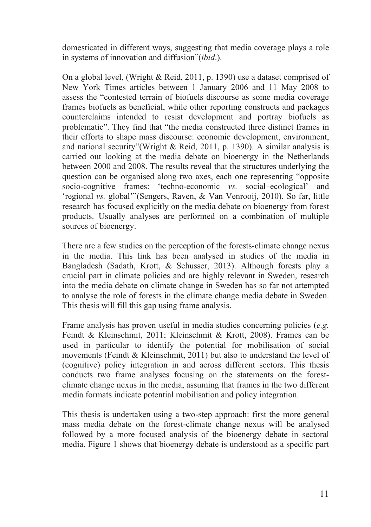domesticated in different ways, suggesting that media coverage plays a role in systems of innovation and diffusion"(*ibid*.).

On a global level, (Wright & Reid, 2011, p. 1390) use a dataset comprised of New York Times articles between 1 January 2006 and 11 May 2008 to assess the "contested terrain of biofuels discourse as some media coverage frames biofuels as beneficial, while other reporting constructs and packages counterclaims intended to resist development and portray biofuels as problematic". They find that "the media constructed three distinct frames in their efforts to shape mass discourse: economic development, environment, and national security"(Wright & Reid, 2011, p. 1390). A similar analysis is carried out looking at the media debate on bioenergy in the Netherlands between 2000 and 2008. The results reveal that the structures underlying the question can be organised along two axes, each one representing "opposite socio-cognitive frames: 'techno-economic *vs.* social–ecological' and 'regional *vs.* global'"(Sengers, Raven, & Van Venrooij, 2010). So far, little research has focused explicitly on the media debate on bioenergy from forest products. Usually analyses are performed on a combination of multiple sources of bioenergy.

There are a few studies on the perception of the forests-climate change nexus in the media. This link has been analysed in studies of the media in Bangladesh (Sadath, Krott, & Schusser, 2013). Although forests play a crucial part in climate policies and are highly relevant in Sweden, research into the media debate on climate change in Sweden has so far not attempted to analyse the role of forests in the climate change media debate in Sweden. This thesis will fill this gap using frame analysis.

Frame analysis has proven useful in media studies concerning policies (*e.g.* Feindt & Kleinschmit, 2011; Kleinschmit & Krott, 2008). Frames can be used in particular to identify the potential for mobilisation of social movements (Feindt & Kleinschmit, 2011) but also to understand the level of (cognitive) policy integration in and across different sectors. This thesis conducts two frame analyses focusing on the statements on the forestclimate change nexus in the media, assuming that frames in the two different media formats indicate potential mobilisation and policy integration.

This thesis is undertaken using a two-step approach: first the more general mass media debate on the forest-climate change nexus will be analysed followed by a more focused analysis of the bioenergy debate in sectoral media. Figure 1 shows that bioenergy debate is understood as a specific part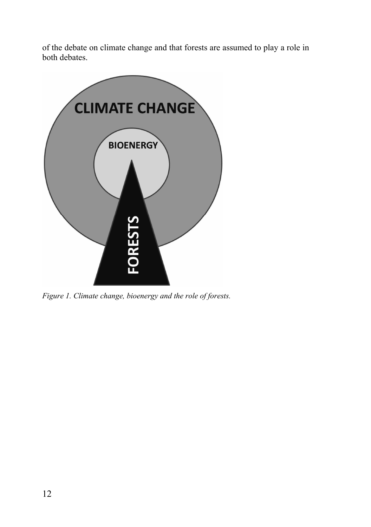of the debate on climate change and that forests are assumed to play a role in both debates.



*Figure 1. Climate change, bioenergy and the role of forests.*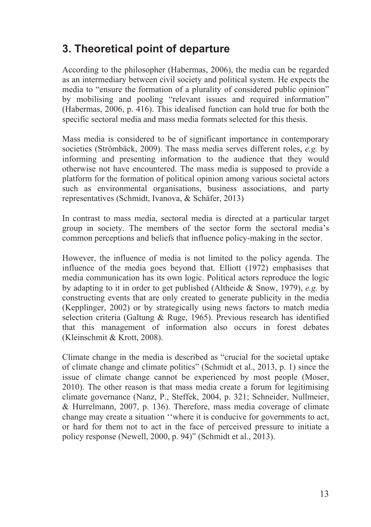# **3. Theoretical point of departure**

According to the philosopher (Habermas, 2006), the media can be regarded as an intermediary between civil society and political system. He expects the media to "ensure the formation of a plurality of considered public opinion" by mobilising and pooling "relevant issues and required information" (Habermas, 2006, p. 416). This idealised function can hold true for both the specific sectoral media and mass media formats selected for this thesis.

Mass media is considered to be of significant importance in contemporary societies (Strömbäck, 2009). The mass media serves different roles, *e.g.* by informing and presenting information to the audience that they would otherwise not have encountered. The mass media is supposed to provide a platform for the formation of political opinion among various societal actors such as environmental organisations, business associations, and party representatives (Schmidt, Ivanova, & Schäfer, 2013)

In contrast to mass media, sectoral media is directed at a particular target group in society. The members of the sector form the sectoral media's common perceptions and beliefs that influence policy-making in the sector.

However, the influence of media is not limited to the policy agenda. The influence of the media goes beyond that. Elliott (1972) emphasises that media communication has its own logic. Political actors reproduce the logic by adapting to it in order to get published (Altheide & Snow, 1979), *e.g.* by constructing events that are only created to generate publicity in the media (Kepplinger, 2002) or by strategically using news factors to match media selection criteria (Galtung & Ruge, 1965). Previous research has identified that this management of information also occurs in forest debates (Kleinschmit & Krott, 2008).

Climate change in the media is described as "crucial for the societal uptake of climate change and climate politics" (Schmidt et al., 2013, p. 1) since the issue of climate change cannot be experienced by most people (Moser, 2010). The other reason is that mass media create a forum for legitimising climate governance (Nanz, P., Steffek, 2004, p. 321; Schneider, Nullmeier, & Hurrelmann, 2007, p. 136). Therefore, mass media coverage of climate change may create a situation ''where it is conducive for governments to act, or hard for them not to act in the face of perceived pressure to initiate a policy response (Newell, 2000, p. 94)" (Schmidt et al., 2013).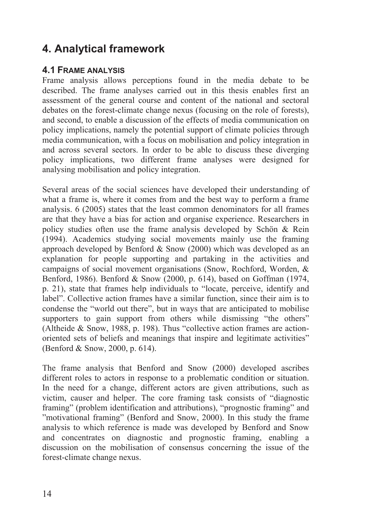# **4. Analytical framework**

### **4.1 FRAME ANALYSIS**

Frame analysis allows perceptions found in the media debate to be described. The frame analyses carried out in this thesis enables first an assessment of the general course and content of the national and sectoral debates on the forest-climate change nexus (focusing on the role of forests), and second, to enable a discussion of the effects of media communication on policy implications, namely the potential support of climate policies through media communication, with a focus on mobilisation and policy integration in and across several sectors. In order to be able to discuss these diverging policy implications, two different frame analyses were designed for analysing mobilisation and policy integration.

Several areas of the social sciences have developed their understanding of what a frame is, where it comes from and the best way to perform a frame analysis. 6 (2005) states that the least common denominators for all frames are that they have a bias for action and organise experience. Researchers in policy studies often use the frame analysis developed by Schön & Rein (1994). Academics studying social movements mainly use the framing approach developed by Benford & Snow (2000) which was developed as an explanation for people supporting and partaking in the activities and campaigns of social movement organisations (Snow, Rochford, Worden, & Benford, 1986). Benford & Snow (2000, p. 614), based on Goffman (1974, p. 21), state that frames help individuals to "locate, perceive, identify and label". Collective action frames have a similar function, since their aim is to condense the "world out there", but in ways that are anticipated to mobilise supporters to gain support from others while dismissing "the others" (Altheide & Snow, 1988, p. 198). Thus "collective action frames are actionoriented sets of beliefs and meanings that inspire and legitimate activities" (Benford & Snow, 2000, p. 614).

The frame analysis that Benford and Snow (2000) developed ascribes different roles to actors in response to a problematic condition or situation. In the need for a change, different actors are given attributions, such as victim, causer and helper. The core framing task consists of "diagnostic framing" (problem identification and attributions), "prognostic framing" and "motivational framing" (Benford and Snow, 2000). In this study the frame analysis to which reference is made was developed by Benford and Snow and concentrates on diagnostic and prognostic framing, enabling a discussion on the mobilisation of consensus concerning the issue of the forest-climate change nexus.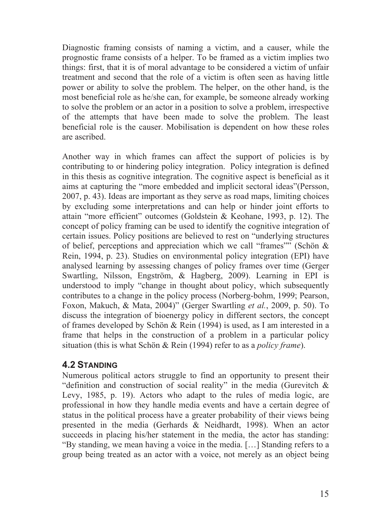Diagnostic framing consists of naming a victim, and a causer, while the prognostic frame consists of a helper. To be framed as a victim implies two things: first, that it is of moral advantage to be considered a victim of unfair treatment and second that the role of a victim is often seen as having little power or ability to solve the problem. The helper, on the other hand, is the most beneficial role as he/she can, for example, be someone already working to solve the problem or an actor in a position to solve a problem, irrespective of the attempts that have been made to solve the problem. The least beneficial role is the causer. Mobilisation is dependent on how these roles are ascribed.

Another way in which frames can affect the support of policies is by contributing to or hindering policy integration. Policy integration is defined in this thesis as cognitive integration. The cognitive aspect is beneficial as it aims at capturing the "more embedded and implicit sectoral ideas"(Persson, 2007, p. 43). Ideas are important as they serve as road maps, limiting choices by excluding some interpretations and can help or hinder joint efforts to attain "more efficient" outcomes (Goldstein & Keohane, 1993, p. 12). The concept of policy framing can be used to identify the cognitive integration of certain issues. Policy positions are believed to rest on "underlying structures of belief, perceptions and appreciation which we call "frames"" (Schön & Rein, 1994, p. 23). Studies on environmental policy integration (EPI) have analysed learning by assessing changes of policy frames over time (Gerger Swartling, Nilsson, Engström, & Hagberg, 2009). Learning in EPI is understood to imply "change in thought about policy, which subsequently contributes to a change in the policy process (Norberg-bohm, 1999; Pearson, Foxon, Makuch, & Mata, 2004)" (Gerger Swartling *et al.*, 2009, p. 50). To discuss the integration of bioenergy policy in different sectors, the concept of frames developed by Schön & Rein (1994) is used, as I am interested in a frame that helps in the construction of a problem in a particular policy situation (this is what Schön & Rein (1994) refer to as a *policy frame*).

### **4.2 STANDING**

Numerous political actors struggle to find an opportunity to present their "definition and construction of social reality" in the media (Gurevitch & Levy, 1985, p. 19). Actors who adapt to the rules of media logic, are professional in how they handle media events and have a certain degree of status in the political process have a greater probability of their views being presented in the media (Gerhards & Neidhardt, 1998). When an actor succeeds in placing his/her statement in the media, the actor has standing: "By standing, we mean having a voice in the media. […] Standing refers to a group being treated as an actor with a voice, not merely as an object being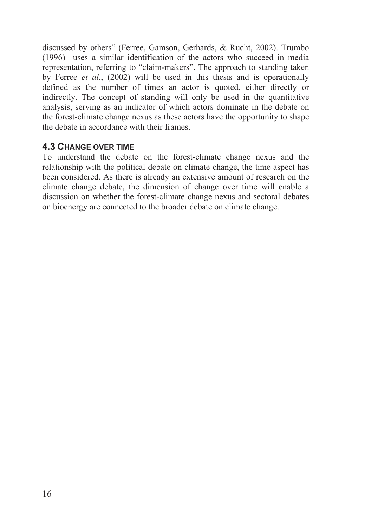discussed by others" (Ferree, Gamson, Gerhards, & Rucht, 2002). Trumbo (1996) uses a similar identification of the actors who succeed in media representation, referring to "claim-makers". The approach to standing taken by Ferree *et al.*, (2002) will be used in this thesis and is operationally defined as the number of times an actor is quoted, either directly or indirectly. The concept of standing will only be used in the quantitative analysis, serving as an indicator of which actors dominate in the debate on the forest-climate change nexus as these actors have the opportunity to shape the debate in accordance with their frames.

### **4.3 CHANGE OVER TIME**

To understand the debate on the forest-climate change nexus and the relationship with the political debate on climate change, the time aspect has been considered. As there is already an extensive amount of research on the climate change debate, the dimension of change over time will enable a discussion on whether the forest-climate change nexus and sectoral debates on bioenergy are connected to the broader debate on climate change.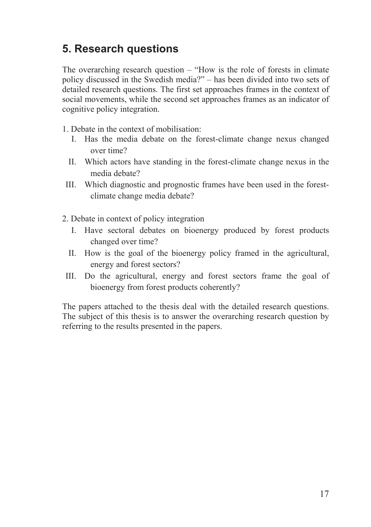# **5. Research questions**

The overarching research question – "How is the role of forests in climate policy discussed in the Swedish media?" – has been divided into two sets of detailed research questions. The first set approaches frames in the context of social movements, while the second set approaches frames as an indicator of cognitive policy integration.

- 1. Debate in the context of mobilisation:
	- I. Has the media debate on the forest-climate change nexus changed over time?
	- II. Which actors have standing in the forest-climate change nexus in the media debate?
- III. Which diagnostic and prognostic frames have been used in the forestclimate change media debate?
- 2. Debate in context of policy integration
	- I. Have sectoral debates on bioenergy produced by forest products changed over time?
	- II. How is the goal of the bioenergy policy framed in the agricultural, energy and forest sectors?
- III. Do the agricultural, energy and forest sectors frame the goal of bioenergy from forest products coherently?

The papers attached to the thesis deal with the detailed research questions. The subject of this thesis is to answer the overarching research question by referring to the results presented in the papers.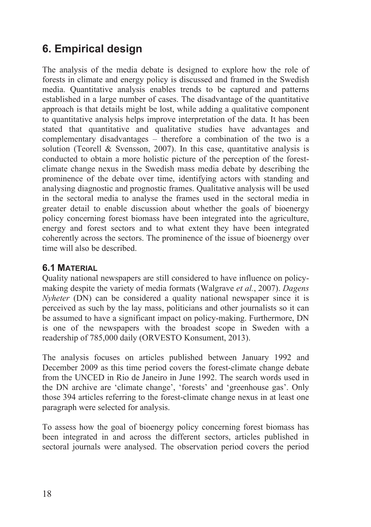# **6. Empirical design**

The analysis of the media debate is designed to explore how the role of forests in climate and energy policy is discussed and framed in the Swedish media. Quantitative analysis enables trends to be captured and patterns established in a large number of cases. The disadvantage of the quantitative approach is that details might be lost, while adding a qualitative component to quantitative analysis helps improve interpretation of the data. It has been stated that quantitative and qualitative studies have advantages and complementary disadvantages – therefore a combination of the two is a solution (Teorell & Svensson, 2007). In this case, quantitative analysis is conducted to obtain a more holistic picture of the perception of the forestclimate change nexus in the Swedish mass media debate by describing the prominence of the debate over time, identifying actors with standing and analysing diagnostic and prognostic frames. Qualitative analysis will be used in the sectoral media to analyse the frames used in the sectoral media in greater detail to enable discussion about whether the goals of bioenergy policy concerning forest biomass have been integrated into the agriculture, energy and forest sectors and to what extent they have been integrated coherently across the sectors. The prominence of the issue of bioenergy over time will also be described.

# **6.1 MATERIAL**

Quality national newspapers are still considered to have influence on policymaking despite the variety of media formats (Walgrave *et al.*, 2007). *Dagens Nyheter* (DN) can be considered a quality national newspaper since it is perceived as such by the lay mass, politicians and other journalists so it can be assumed to have a significant impact on policy-making. Furthermore, DN is one of the newspapers with the broadest scope in Sweden with a readership of 785,000 daily (ORVESTO Konsument, 2013).

The analysis focuses on articles published between January 1992 and December 2009 as this time period covers the forest-climate change debate from the UNCED in Rio de Janeiro in June 1992. The search words used in the DN archive are 'climate change', 'forests' and 'greenhouse gas'. Only those 394 articles referring to the forest-climate change nexus in at least one paragraph were selected for analysis.

To assess how the goal of bioenergy policy concerning forest biomass has been integrated in and across the different sectors, articles published in sectoral journals were analysed. The observation period covers the period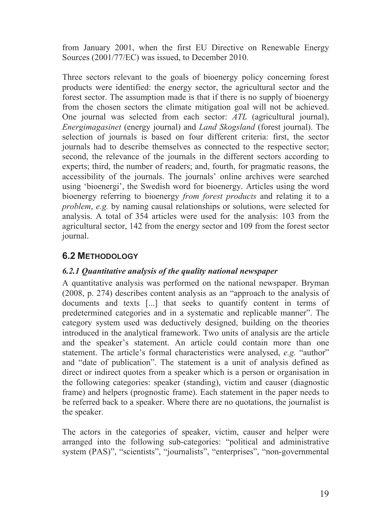from January 2001, when the first EU Directive on Renewable Energy Sources (2001/77/EC) was issued, to December 2010.

Three sectors relevant to the goals of bioenergy policy concerning forest products were identified: the energy sector, the agricultural sector and the forest sector. The assumption made is that if there is no supply of bioenergy from the chosen sectors the climate mitigation goal will not be achieved. One journal was selected from each sector: *ATL* (agricultural journal), *Energimagasinet* (energy journal) and *Land Skogsland* (forest journal). The selection of journals is based on four different criteria: first, the sector journals had to describe themselves as connected to the respective sector; second, the relevance of the journals in the different sectors according to experts; third, the number of readers; and, fourth, for pragmatic reasons, the accessibility of the journals. The journals' online archives were searched using 'bioenergi', the Swedish word for bioenergy. Articles using the word bioenergy referring to bioenergy *from forest products* and relating it to a *problem*, *e.g.* by naming causal relationships or solutions, were selected for analysis. A total of 354 articles were used for the analysis: 103 from the agricultural sector, 142 from the energy sector and 109 from the forest sector journal.

# **6.2 METHODOLOGY**

### *6.2.1 Quantitative analysis of the quality national newspaper*

A quantitative analysis was performed on the national newspaper. Bryman (2008, p. 274) describes content analysis as an "approach to the analysis of documents and texts [...] that seeks to quantify content in terms of predetermined categories and in a systematic and replicable manner". The category system used was deductively designed, building on the theories introduced in the analytical framework. Two units of analysis are the article and the speaker's statement. An article could contain more than one statement. The article's formal characteristics were analysed, *e.g.* "author" and "date of publication". The statement is a unit of analysis defined as direct or indirect quotes from a speaker which is a person or organisation in the following categories: speaker (standing), victim and causer (diagnostic frame) and helpers (prognostic frame). Each statement in the paper needs to be referred back to a speaker. Where there are no quotations, the journalist is the speaker.

The actors in the categories of speaker, victim, causer and helper were arranged into the following sub-categories: "political and administrative system (PAS)", "scientists", "journalists", "enterprises", "non-governmental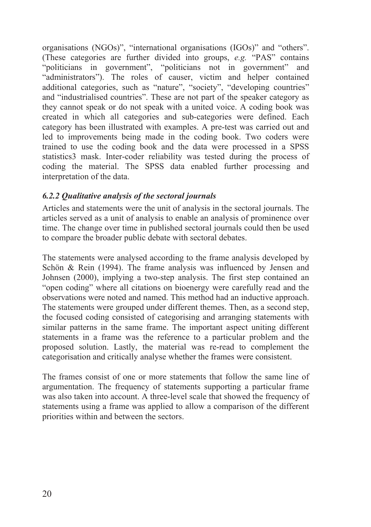organisations (NGOs)", "international organisations (IGOs)" and "others". (These categories are further divided into groups, *e.g.* "PAS" contains "politicians in government", "politicians not in government" and "administrators"). The roles of causer, victim and helper contained additional categories, such as "nature", "society", "developing countries" and "industrialised countries". These are not part of the speaker category as they cannot speak or do not speak with a united voice. A coding book was created in which all categories and sub-categories were defined. Each category has been illustrated with examples. A pre-test was carried out and led to improvements being made in the coding book. Two coders were trained to use the coding book and the data were processed in a SPSS statistics3 mask. Inter-coder reliability was tested during the process of coding the material. The SPSS data enabled further processing and interpretation of the data.

### *6.2.2 Qualitative analysis of the sectoral journals*

Articles and statements were the unit of analysis in the sectoral journals. The articles served as a unit of analysis to enable an analysis of prominence over time. The change over time in published sectoral journals could then be used to compare the broader public debate with sectoral debates.

The statements were analysed according to the frame analysis developed by Schön & Rein (1994). The frame analysis was influenced by Jensen and Johnsen (2000), implying a two-step analysis. The first step contained an "open coding" where all citations on bioenergy were carefully read and the observations were noted and named. This method had an inductive approach. The statements were grouped under different themes. Then, as a second step, the focused coding consisted of categorising and arranging statements with similar patterns in the same frame. The important aspect uniting different statements in a frame was the reference to a particular problem and the proposed solution. Lastly, the material was re-read to complement the categorisation and critically analyse whether the frames were consistent.

The frames consist of one or more statements that follow the same line of argumentation. The frequency of statements supporting a particular frame was also taken into account. A three-level scale that showed the frequency of statements using a frame was applied to allow a comparison of the different priorities within and between the sectors.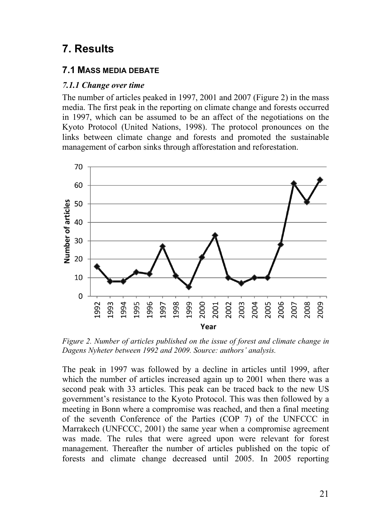# **7. Results**

## **7.1 MASS MEDIA DEBATE**

### *7.1.1 Change over time*

The number of articles peaked in 1997, 2001 and 2007 (Figure 2) in the mass media. The first peak in the reporting on climate change and forests occurred in 1997, which can be assumed to be an affect of the negotiations on the Kyoto Protocol (United Nations, 1998). The protocol pronounces on the links between climate change and forests and promoted the sustainable management of carbon sinks through afforestation and reforestation.



*Figure 2. Number of articles published on the issue of forest and climate change in Dagens Nyheter between 1992 and 2009. Source: authors' analysis.* 

The peak in 1997 was followed by a decline in articles until 1999, after which the number of articles increased again up to 2001 when there was a second peak with 33 articles. This peak can be traced back to the new US government's resistance to the Kyoto Protocol. This was then followed by a meeting in Bonn where a compromise was reached, and then a final meeting of the seventh Conference of the Parties (COP 7) of the UNFCCC in Marrakech (UNFCCC, 2001) the same year when a compromise agreement was made. The rules that were agreed upon were relevant for forest management. Thereafter the number of articles published on the topic of forests and climate change decreased until 2005. In 2005 reporting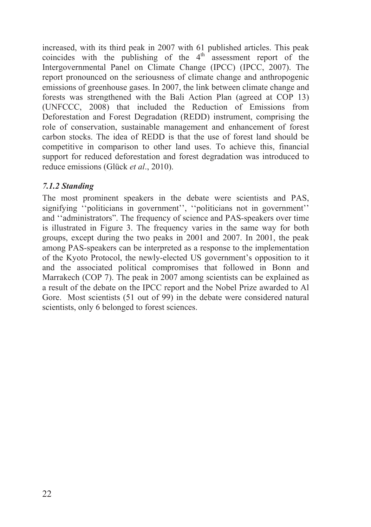increased, with its third peak in 2007 with 61 published articles. This peak coincides with the publishing of the  $4<sup>th</sup>$  assessment report of the Intergovernmental Panel on Climate Change (IPCC) (IPCC, 2007). The report pronounced on the seriousness of climate change and anthropogenic emissions of greenhouse gases. In 2007, the link between climate change and forests was strengthened with the Bali Action Plan (agreed at COP 13) (UNFCCC, 2008) that included the Reduction of Emissions from Deforestation and Forest Degradation (REDD) instrument, comprising the role of conservation, sustainable management and enhancement of forest carbon stocks. The idea of REDD is that the use of forest land should be competitive in comparison to other land uses. To achieve this, financial support for reduced deforestation and forest degradation was introduced to reduce emissions (Glück *et al*., 2010).

### *7.1.2 Standing*

The most prominent speakers in the debate were scientists and PAS, signifying "politicians in government", "politicians not in government" and ''administrators". The frequency of science and PAS-speakers over time is illustrated in Figure 3. The frequency varies in the same way for both groups, except during the two peaks in 2001 and 2007. In 2001, the peak among PAS-speakers can be interpreted as a response to the implementation of the Kyoto Protocol, the newly-elected US government's opposition to it and the associated political compromises that followed in Bonn and Marrakech (COP 7). The peak in 2007 among scientists can be explained as a result of the debate on the IPCC report and the Nobel Prize awarded to Al Gore. Most scientists (51 out of 99) in the debate were considered natural scientists, only 6 belonged to forest sciences.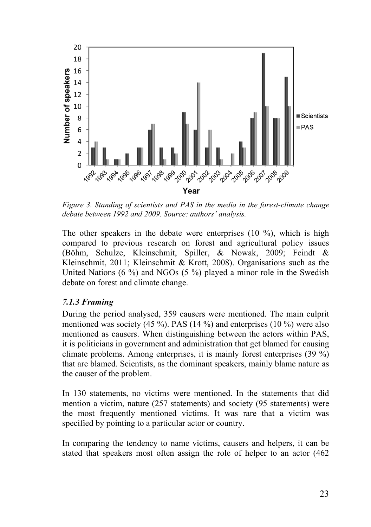

*Figure 3. Standing of scientists and PAS in the media in the forest-climate change debate between 1992 and 2009. Source: authors' analysis.* 

The other speakers in the debate were enterprises (10 %), which is high compared to previous research on forest and agricultural policy issues (Böhm, Schulze, Kleinschmit, Spiller, & Nowak, 2009; Feindt & Kleinschmit, 2011; Kleinschmit & Krott, 2008). Organisations such as the United Nations (6 %) and NGOs (5 %) played a minor role in the Swedish debate on forest and climate change.

### *7.1.3 Framing*

During the period analysed, 359 causers were mentioned. The main culprit mentioned was society (45 %). PAS (14 %) and enterprises (10 %) were also mentioned as causers. When distinguishing between the actors within PAS, it is politicians in government and administration that get blamed for causing climate problems. Among enterprises, it is mainly forest enterprises (39 %) that are blamed. Scientists, as the dominant speakers, mainly blame nature as the causer of the problem.

In 130 statements, no victims were mentioned. In the statements that did mention a victim, nature (257 statements) and society (95 statements) were the most frequently mentioned victims. It was rare that a victim was specified by pointing to a particular actor or country.

In comparing the tendency to name victims, causers and helpers, it can be stated that speakers most often assign the role of helper to an actor (462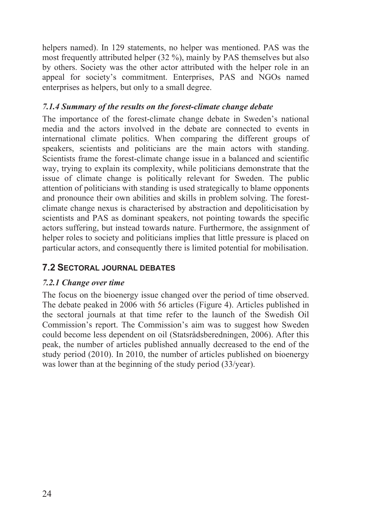helpers named). In 129 statements, no helper was mentioned. PAS was the most frequently attributed helper (32 %), mainly by PAS themselves but also by others. Society was the other actor attributed with the helper role in an appeal for society's commitment. Enterprises, PAS and NGOs named enterprises as helpers, but only to a small degree.

### *7.1.4 Summary of the results on the forest-climate change debate*

The importance of the forest-climate change debate in Sweden's national media and the actors involved in the debate are connected to events in international climate politics. When comparing the different groups of speakers, scientists and politicians are the main actors with standing. Scientists frame the forest-climate change issue in a balanced and scientific way, trying to explain its complexity, while politicians demonstrate that the issue of climate change is politically relevant for Sweden. The public attention of politicians with standing is used strategically to blame opponents and pronounce their own abilities and skills in problem solving. The forestclimate change nexus is characterised by abstraction and depoliticisation by scientists and PAS as dominant speakers, not pointing towards the specific actors suffering, but instead towards nature. Furthermore, the assignment of helper roles to society and politicians implies that little pressure is placed on particular actors, and consequently there is limited potential for mobilisation.

# **7.2 SECTORAL JOURNAL DEBATES**

### *7.2.1 Change over time*

The focus on the bioenergy issue changed over the period of time observed. The debate peaked in 2006 with 56 articles (Figure 4). Articles published in the sectoral journals at that time refer to the launch of the Swedish Oil Commission's report. The Commission's aim was to suggest how Sweden could become less dependent on oil (Statsrådsberedningen, 2006). After this peak, the number of articles published annually decreased to the end of the study period (2010). In 2010, the number of articles published on bioenergy was lower than at the beginning of the study period (33/year).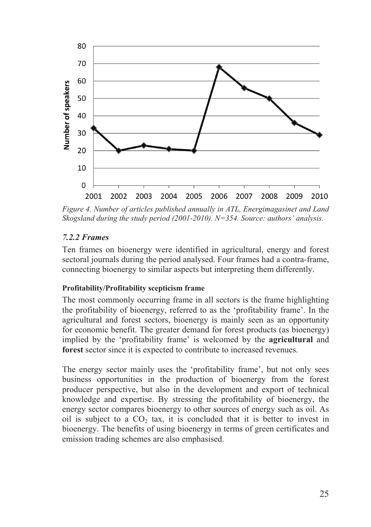

*Figure 4. Number of articles published annually in ATL, Energimagasinet and Land Skogsland during the study period (2001-2010). N=354. Source: authors' analysis.* 

### *7.2.2 Frames*

Ten frames on bioenergy were identified in agricultural, energy and forest sectoral journals during the period analysed. Four frames had a contra-frame, connecting bioenergy to similar aspects but interpreting them differently.

### **Profitability/Profitability scepticism frame**

The most commonly occurring frame in all sectors is the frame highlighting the profitability of bioenergy, referred to as the 'profitability frame'. In the agricultural and forest sectors, bioenergy is mainly seen as an opportunity for economic benefit. The greater demand for forest products (as bioenergy) implied by the 'profitability frame' is welcomed by the **agricultural** and **forest** sector since it is expected to contribute to increased revenues.

The energy sector mainly uses the 'profitability frame', but not only sees business opportunities in the production of bioenergy from the forest producer perspective, but also in the development and export of technical knowledge and expertise. By stressing the profitability of bioenergy, the energy sector compares bioenergy to other sources of energy such as oil. As oil is subject to a  $CO<sub>2</sub>$  tax, it is concluded that it is better to invest in bioenergy. The benefits of using bioenergy in terms of green certificates and emission trading schemes are also emphasised.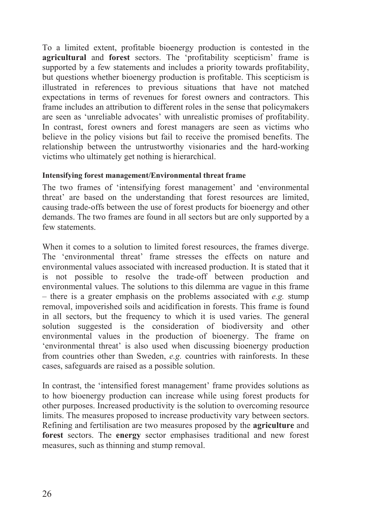To a limited extent, profitable bioenergy production is contested in the **agricultural** and **forest** sectors. The 'profitability scepticism' frame is supported by a few statements and includes a priority towards profitability, but questions whether bioenergy production is profitable. This scepticism is illustrated in references to previous situations that have not matched expectations in terms of revenues for forest owners and contractors. This frame includes an attribution to different roles in the sense that policymakers are seen as 'unreliable advocates' with unrealistic promises of profitability. In contrast, forest owners and forest managers are seen as victims who believe in the policy visions but fail to receive the promised benefits. The relationship between the untrustworthy visionaries and the hard-working victims who ultimately get nothing is hierarchical.

### **Intensifying forest management/Environmental threat frame**

The two frames of 'intensifying forest management' and 'environmental threat' are based on the understanding that forest resources are limited, causing trade-offs between the use of forest products for bioenergy and other demands. The two frames are found in all sectors but are only supported by a few statements.

When it comes to a solution to limited forest resources, the frames diverge. The 'environmental threat' frame stresses the effects on nature and environmental values associated with increased production. It is stated that it is not possible to resolve the trade-off between production and environmental values. The solutions to this dilemma are vague in this frame – there is a greater emphasis on the problems associated with *e.g.* stump removal, impoverished soils and acidification in forests. This frame is found in all sectors, but the frequency to which it is used varies. The general solution suggested is the consideration of biodiversity and other environmental values in the production of bioenergy. The frame on 'environmental threat' is also used when discussing bioenergy production from countries other than Sweden, *e.g.* countries with rainforests. In these cases, safeguards are raised as a possible solution.

In contrast, the 'intensified forest management' frame provides solutions as to how bioenergy production can increase while using forest products for other purposes. Increased productivity is the solution to overcoming resource limits. The measures proposed to increase productivity vary between sectors. Refining and fertilisation are two measures proposed by the **agriculture** and **forest** sectors. The **energy** sector emphasises traditional and new forest measures, such as thinning and stump removal.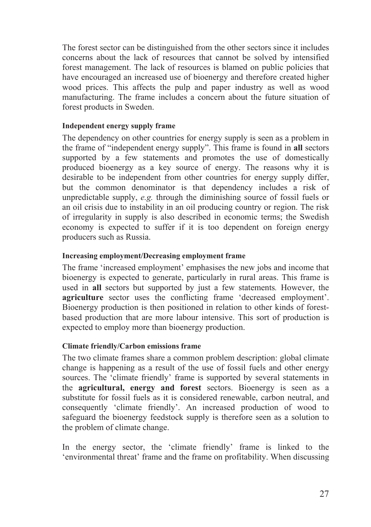The forest sector can be distinguished from the other sectors since it includes concerns about the lack of resources that cannot be solved by intensified forest management. The lack of resources is blamed on public policies that have encouraged an increased use of bioenergy and therefore created higher wood prices. This affects the pulp and paper industry as well as wood manufacturing. The frame includes a concern about the future situation of forest products in Sweden.

### **Independent energy supply frame**

The dependency on other countries for energy supply is seen as a problem in the frame of "independent energy supply". This frame is found in **all** sectors supported by a few statements and promotes the use of domestically produced bioenergy as a key source of energy. The reasons why it is desirable to be independent from other countries for energy supply differ, but the common denominator is that dependency includes a risk of unpredictable supply, *e.g.* through the diminishing source of fossil fuels or an oil crisis due to instability in an oil producing country or region. The risk of irregularity in supply is also described in economic terms; the Swedish economy is expected to suffer if it is too dependent on foreign energy producers such as Russia.

### **Increasing employment/Decreasing employment frame**

The frame 'increased employment' emphasises the new jobs and income that bioenergy is expected to generate, particularly in rural areas. This frame is used in **all** sectors but supported by just a few statements*.* However, the **agriculture** sector uses the conflicting frame 'decreased employment'. Bioenergy production is then positioned in relation to other kinds of forestbased production that are more labour intensive. This sort of production is expected to employ more than bioenergy production.

### **Climate friendly/Carbon emissions frame**

The two climate frames share a common problem description: global climate change is happening as a result of the use of fossil fuels and other energy sources. The 'climate friendly' frame is supported by several statements in the **agricultural, energy and forest** sectors. Bioenergy is seen as a substitute for fossil fuels as it is considered renewable, carbon neutral, and consequently 'climate friendly'. An increased production of wood to safeguard the bioenergy feedstock supply is therefore seen as a solution to the problem of climate change.

In the energy sector, the 'climate friendly' frame is linked to the 'environmental threat' frame and the frame on profitability. When discussing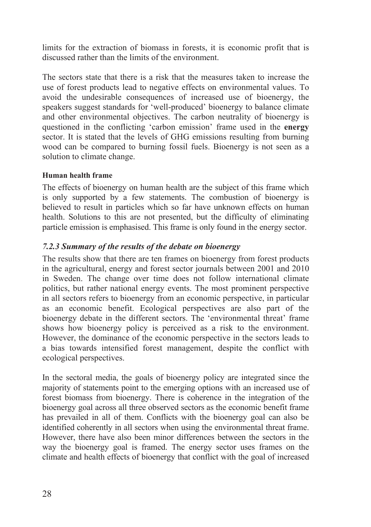limits for the extraction of biomass in forests, it is economic profit that is discussed rather than the limits of the environment.

The sectors state that there is a risk that the measures taken to increase the use of forest products lead to negative effects on environmental values. To avoid the undesirable consequences of increased use of bioenergy, the speakers suggest standards for 'well-produced' bioenergy to balance climate and other environmental objectives. The carbon neutrality of bioenergy is questioned in the conflicting 'carbon emission' frame used in the **energy** sector. It is stated that the levels of GHG emissions resulting from burning wood can be compared to burning fossil fuels. Bioenergy is not seen as a solution to climate change.

### **Human health frame**

The effects of bioenergy on human health are the subject of this frame which is only supported by a few statements. The combustion of bioenergy is believed to result in particles which so far have unknown effects on human health. Solutions to this are not presented, but the difficulty of eliminating particle emission is emphasised. This frame is only found in the energy sector.

## *7.2.3 Summary of the results of the debate on bioenergy*

The results show that there are ten frames on bioenergy from forest products in the agricultural, energy and forest sector journals between 2001 and 2010 in Sweden. The change over time does not follow international climate politics, but rather national energy events. The most prominent perspective in all sectors refers to bioenergy from an economic perspective, in particular as an economic benefit. Ecological perspectives are also part of the bioenergy debate in the different sectors. The 'environmental threat' frame shows how bioenergy policy is perceived as a risk to the environment. However, the dominance of the economic perspective in the sectors leads to a bias towards intensified forest management, despite the conflict with ecological perspectives.

In the sectoral media, the goals of bioenergy policy are integrated since the majority of statements point to the emerging options with an increased use of forest biomass from bioenergy. There is coherence in the integration of the bioenergy goal across all three observed sectors as the economic benefit frame has prevailed in all of them. Conflicts with the bioenergy goal can also be identified coherently in all sectors when using the environmental threat frame. However, there have also been minor differences between the sectors in the way the bioenergy goal is framed. The energy sector uses frames on the climate and health effects of bioenergy that conflict with the goal of increased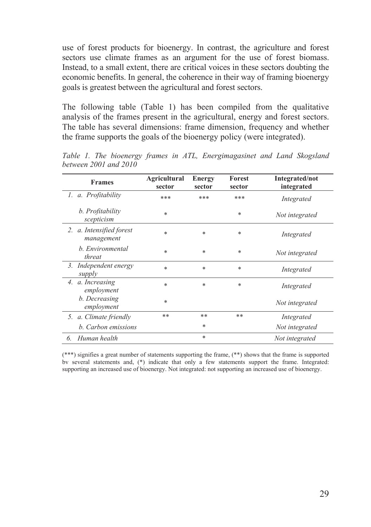use of forest products for bioenergy. In contrast, the agriculture and forest sectors use climate frames as an argument for the use of forest biomass. Instead, to a small extent, there are critical voices in these sectors doubting the economic benefits. In general, the coherence in their way of framing bioenergy goals is greatest between the agricultural and forest sectors.

The following table (Table 1) has been compiled from the qualitative analysis of the frames present in the agricultural, energy and forest sectors. The table has several dimensions: frame dimension, frequency and whether the frame supports the goals of the bioenergy policy (were integrated).

| <b>Frames</b>                          | <b>Agricultural</b><br>sector | <b>Energy</b><br>sector | Forest<br>sector | Integrated/not<br>integrated |
|----------------------------------------|-------------------------------|-------------------------|------------------|------------------------------|
| 1. a. Profitability                    | ***                           | ***                     | ***              | Integrated                   |
| b. Profitability<br>scepticism         | $*$                           |                         | *                | Not integrated               |
| 2. a. Intensified forest<br>management | *                             | *                       | *                | Integrated                   |
| b. Environmental<br>threat             | *                             | *                       | $\ast$           | Not integrated               |
| Independent energy<br>3.<br>supply     | $*$                           | $*$                     | $\ast$           | Integrated                   |
| 4. a. Increasing<br>employment         | *                             | *                       | $\ast$           | Integrated                   |
| b. Decreasing<br>employment            | *                             |                         |                  | Not integrated               |
| 5. a. Climate friendly                 | **                            | **                      | **               | Integrated                   |
| b. Carbon emissions                    |                               | $\ast$                  |                  | Not integrated               |
| Human health<br>6.                     |                               | $*$                     |                  | Not integrated               |

*Table 1. The bioenergy frames in ATL, Energimagasinet and Land Skogsland between 2001 and 2010* 

(\*\*\*) signifies a great number of statements supporting the frame, (\*\*) shows that the frame is supported bv several statements and, (\*) indicate that only a few statements support the frame. Integrated: supporting an increased use of bioenergy. Not integrated: not supporting an increased use of bioenergy.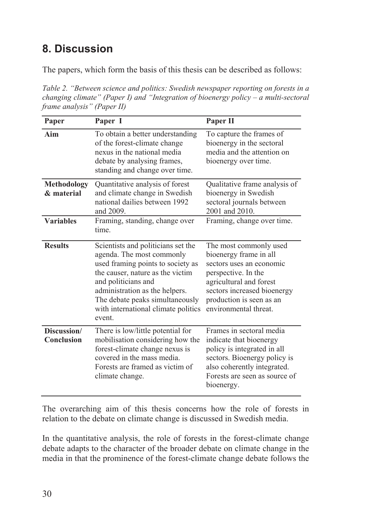# **8. Discussion**

The papers, which form the basis of this thesis can be described as follows:

*Table 2. "Between science and politics: Swedish newspaper reporting on forests in a changing climate" (Paper I) and "Integration of bioenergy policy – a multi-sectoral frame analysis" (Paper II)* 

| Paper                            | Paper I                                                                                                                                                                                                                                                                               | Paper II                                                                                                                                                                                                           |
|----------------------------------|---------------------------------------------------------------------------------------------------------------------------------------------------------------------------------------------------------------------------------------------------------------------------------------|--------------------------------------------------------------------------------------------------------------------------------------------------------------------------------------------------------------------|
| Aim                              | To obtain a better understanding<br>of the forest-climate change<br>nexus in the national media<br>debate by analysing frames,<br>standing and change over time.                                                                                                                      | To capture the frames of<br>bioenergy in the sectoral<br>media and the attention on<br>bioenergy over time.                                                                                                        |
| <b>Methodology</b><br>& material | Quantitative analysis of forest<br>and climate change in Swedish<br>national dailies between 1992<br>and 2009.                                                                                                                                                                        | Qualitative frame analysis of<br>bioenergy in Swedish<br>sectoral journals between<br>2001 and 2010.                                                                                                               |
| <b>Variables</b>                 | Framing, standing, change over<br>time.                                                                                                                                                                                                                                               | Framing, change over time.                                                                                                                                                                                         |
| <b>Results</b>                   | Scientists and politicians set the<br>agenda. The most commonly<br>used framing points to society as<br>the causer, nature as the victim<br>and politicians and<br>administration as the helpers.<br>The debate peaks simultaneously<br>with international climate politics<br>event. | The most commonly used<br>bioenergy frame in all<br>sectors uses an economic<br>perspective. In the<br>agricultural and forest<br>sectors increased bioenergy<br>production is seen as an<br>environmental threat. |
| Discussion/<br>Conclusion        | There is low/little potential for<br>mobilisation considering how the<br>forest-climate change nexus is<br>covered in the mass media.<br>Forests are framed as victim of<br>climate change.                                                                                           | Frames in sectoral media<br>indicate that bioenergy<br>policy is integrated in all<br>sectors. Bioenergy policy is<br>also coherently integrated.<br>Forests are seen as source of<br>bioenergy.                   |

The overarching aim of this thesis concerns how the role of forests in relation to the debate on climate change is discussed in Swedish media.

In the quantitative analysis, the role of forests in the forest-climate change debate adapts to the character of the broader debate on climate change in the media in that the prominence of the forest-climate change debate follows the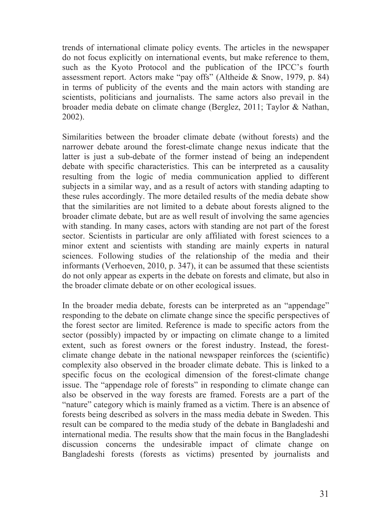trends of international climate policy events. The articles in the newspaper do not focus explicitly on international events, but make reference to them, such as the Kyoto Protocol and the publication of the IPCC's fourth assessment report. Actors make "pay offs" (Altheide & Snow, 1979, p. 84) in terms of publicity of the events and the main actors with standing are scientists, politicians and journalists. The same actors also prevail in the broader media debate on climate change (Berglez, 2011; Taylor & Nathan, 2002).

Similarities between the broader climate debate (without forests) and the narrower debate around the forest-climate change nexus indicate that the latter is just a sub-debate of the former instead of being an independent debate with specific characteristics. This can be interpreted as a causality resulting from the logic of media communication applied to different subjects in a similar way, and as a result of actors with standing adapting to these rules accordingly. The more detailed results of the media debate show that the similarities are not limited to a debate about forests aligned to the broader climate debate, but are as well result of involving the same agencies with standing. In many cases, actors with standing are not part of the forest sector. Scientists in particular are only affiliated with forest sciences to a minor extent and scientists with standing are mainly experts in natural sciences. Following studies of the relationship of the media and their informants (Verhoeven, 2010, p. 347), it can be assumed that these scientists do not only appear as experts in the debate on forests and climate, but also in the broader climate debate or on other ecological issues.

In the broader media debate, forests can be interpreted as an "appendage" responding to the debate on climate change since the specific perspectives of the forest sector are limited. Reference is made to specific actors from the sector (possibly) impacted by or impacting on climate change to a limited extent, such as forest owners or the forest industry. Instead, the forestclimate change debate in the national newspaper reinforces the (scientific) complexity also observed in the broader climate debate. This is linked to a specific focus on the ecological dimension of the forest-climate change issue. The "appendage role of forests" in responding to climate change can also be observed in the way forests are framed. Forests are a part of the "nature" category which is mainly framed as a victim. There is an absence of forests being described as solvers in the mass media debate in Sweden. This result can be compared to the media study of the debate in Bangladeshi and international media. The results show that the main focus in the Bangladeshi discussion concerns the undesirable impact of climate change on Bangladeshi forests (forests as victims) presented by journalists and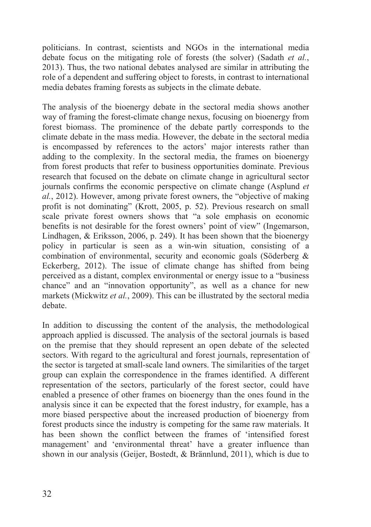politicians. In contrast, scientists and NGOs in the international media debate focus on the mitigating role of forests (the solver) (Sadath *et al.*, 2013). Thus, the two national debates analysed are similar in attributing the role of a dependent and suffering object to forests, in contrast to international media debates framing forests as subjects in the climate debate.

The analysis of the bioenergy debate in the sectoral media shows another way of framing the forest-climate change nexus, focusing on bioenergy from forest biomass. The prominence of the debate partly corresponds to the climate debate in the mass media. However, the debate in the sectoral media is encompassed by references to the actors' major interests rather than adding to the complexity. In the sectoral media, the frames on bioenergy from forest products that refer to business opportunities dominate. Previous research that focused on the debate on climate change in agricultural sector journals confirms the economic perspective on climate change (Asplund *et al.*, 2012). However, among private forest owners, the "objective of making profit is not dominating" (Krott, 2005, p. 52). Previous research on small scale private forest owners shows that "a sole emphasis on economic benefits is not desirable for the forest owners' point of view" (Ingemarson, Lindhagen, & Eriksson, 2006, p. 249). It has been shown that the bioenergy policy in particular is seen as a win-win situation, consisting of a combination of environmental, security and economic goals (Söderberg & Eckerberg, 2012). The issue of climate change has shifted from being perceived as a distant, complex environmental or energy issue to a "business chance" and an "innovation opportunity", as well as a chance for new markets (Mickwitz *et al.*, 2009). This can be illustrated by the sectoral media debate.

In addition to discussing the content of the analysis, the methodological approach applied is discussed. The analysis of the sectoral journals is based on the premise that they should represent an open debate of the selected sectors. With regard to the agricultural and forest journals, representation of the sector is targeted at small-scale land owners. The similarities of the target group can explain the correspondence in the frames identified. A different representation of the sectors, particularly of the forest sector, could have enabled a presence of other frames on bioenergy than the ones found in the analysis since it can be expected that the forest industry, for example, has a more biased perspective about the increased production of bioenergy from forest products since the industry is competing for the same raw materials. It has been shown the conflict between the frames of 'intensified forest management' and 'environmental threat' have a greater influence than shown in our analysis (Geijer, Bostedt, & Brännlund, 2011), which is due to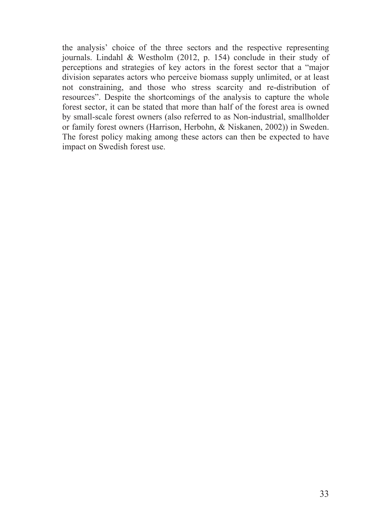the analysis' choice of the three sectors and the respective representing journals. Lindahl & Westholm (2012, p. 154) conclude in their study of perceptions and strategies of key actors in the forest sector that a "major division separates actors who perceive biomass supply unlimited, or at least not constraining, and those who stress scarcity and re-distribution of resources". Despite the shortcomings of the analysis to capture the whole forest sector, it can be stated that more than half of the forest area is owned by small-scale forest owners (also referred to as Non-industrial, smallholder or family forest owners (Harrison, Herbohn, & Niskanen, 2002)) in Sweden. The forest policy making among these actors can then be expected to have impact on Swedish forest use.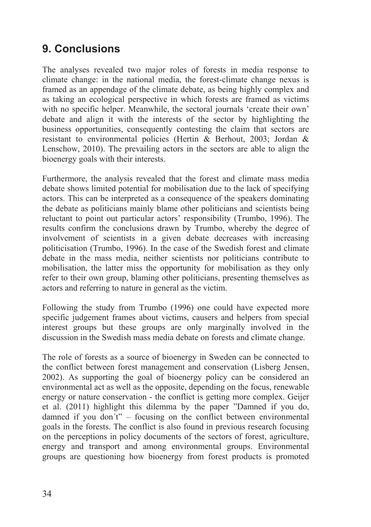# **9. Conclusions**

The analyses revealed two major roles of forests in media response to climate change: in the national media, the forest-climate change nexus is framed as an appendage of the climate debate, as being highly complex and as taking an ecological perspective in which forests are framed as victims with no specific helper. Meanwhile, the sectoral journals 'create their own' debate and align it with the interests of the sector by highlighting the business opportunities, consequently contesting the claim that sectors are resistant to environmental policies (Hertin & Berhout, 2003; Jordan & Lenschow, 2010). The prevailing actors in the sectors are able to align the bioenergy goals with their interests.

Furthermore, the analysis revealed that the forest and climate mass media debate shows limited potential for mobilisation due to the lack of specifying actors. This can be interpreted as a consequence of the speakers dominating the debate as politicians mainly blame other politicians and scientists being reluctant to point out particular actors' responsibility (Trumbo, 1996). The results confirm the conclusions drawn by Trumbo, whereby the degree of involvement of scientists in a given debate decreases with increasing politicisation (Trumbo, 1996). In the case of the Swedish forest and climate debate in the mass media, neither scientists nor politicians contribute to mobilisation, the latter miss the opportunity for mobilisation as they only refer to their own group, blaming other politicians, presenting themselves as actors and referring to nature in general as the victim.

Following the study from Trumbo (1996) one could have expected more specific judgement frames about victims, causers and helpers from special interest groups but these groups are only marginally involved in the discussion in the Swedish mass media debate on forests and climate change.

The role of forests as a source of bioenergy in Sweden can be connected to the conflict between forest management and conservation (Lisberg Jensen, 2002). As supporting the goal of bioenergy policy can be considered an environmental act as well as the opposite, depending on the focus, renewable energy or nature conservation - the conflict is getting more complex. Geijer et al. (2011) highlight this dilemma by the paper "Damned if you do, damned if you don´t" – focusing on the conflict between environmental goals in the forests. The conflict is also found in previous research focusing on the perceptions in policy documents of the sectors of forest, agriculture, energy and transport and among environmental groups. Environmental groups are questioning how bioenergy from forest products is promoted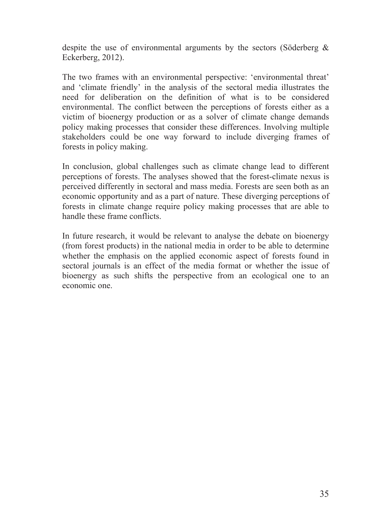despite the use of environmental arguments by the sectors (Söderberg & Eckerberg, 2012).

The two frames with an environmental perspective: 'environmental threat' and 'climate friendly' in the analysis of the sectoral media illustrates the need for deliberation on the definition of what is to be considered environmental. The conflict between the perceptions of forests either as a victim of bioenergy production or as a solver of climate change demands policy making processes that consider these differences. Involving multiple stakeholders could be one way forward to include diverging frames of forests in policy making.

In conclusion, global challenges such as climate change lead to different perceptions of forests. The analyses showed that the forest-climate nexus is perceived differently in sectoral and mass media. Forests are seen both as an economic opportunity and as a part of nature. These diverging perceptions of forests in climate change require policy making processes that are able to handle these frame conflicts.

In future research, it would be relevant to analyse the debate on bioenergy (from forest products) in the national media in order to be able to determine whether the emphasis on the applied economic aspect of forests found in sectoral journals is an effect of the media format or whether the issue of bioenergy as such shifts the perspective from an ecological one to an economic one.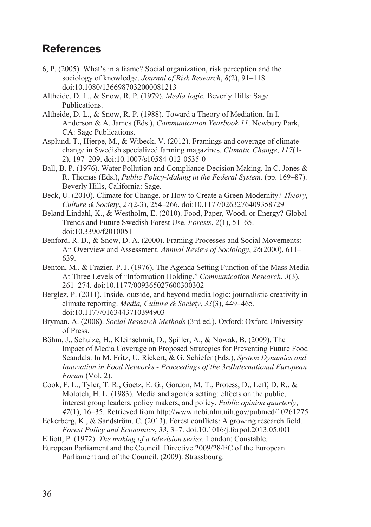# **References**

- 6, P. (2005). What's in a frame? Social organization, risk perception and the sociology of knowledge. *Journal of Risk Research*, *8*(2), 91–118. doi:10.1080/1366987032000081213
- Altheide, D. L., & Snow, R. P. (1979). *Media logic.* Beverly Hills: Sage Publications.
- Altheide, D. L., & Snow, R. P. (1988). Toward a Theory of Mediation. In I. Anderson & A. James (Eds.), *Communication Yearbook 11*. Newbury Park, CA: Sage Publications.
- Asplund, T., Hjerpe, M., & Wibeck, V. (2012). Framings and coverage of climate change in Swedish specialized farming magazines. *Climatic Change*, *117*(1- 2), 197–209. doi:10.1007/s10584-012-0535-0
- Ball, B. P. (1976). Water Pollution and Compliance Decision Making. In C. Jones & R. Thomas (Eds.), *Public Policy-Making in the Federal System.* (pp. 169–87). Beverly Hills, California: Sage.
- Beck, U. (2010). Climate for Change, or How to Create a Green Modernity? *Theory, Culture & Society*, *27*(2-3), 254–266. doi:10.1177/0263276409358729
- Beland Lindahl, K., & Westholm, E. (2010). Food, Paper, Wood, or Energy? Global Trends and Future Swedish Forest Use. *Forests*, *2*(1), 51–65. doi:10.3390/f2010051
- Benford, R. D., & Snow, D. A. (2000). Framing Processes and Social Movements: An Overview and Assessment. *Annual Review of Sociology*, *26*(2000), 611– 639.
- Benton, M., & Frazier, P. J. (1976). The Agenda Setting Function of the Mass Media At Three Levels of "Information Holding." *Communication Research*, *3*(3), 261–274. doi:10.1177/009365027600300302
- Berglez, P. (2011). Inside, outside, and beyond media logic: journalistic creativity in climate reporting. *Media, Culture & Society*, *33*(3), 449–465. doi:10.1177/0163443710394903
- Bryman, A. (2008). *Social Research Methods* (3rd ed.). Oxford: Oxford University of Press.
- Böhm, J., Schulze, H., Kleinschmit, D., Spiller, A., & Nowak, B. (2009). The Impact of Media Coverage on Proposed Strategies for Preventing Future Food Scandals. In M. Fritz, U. Rickert, & G. Schiefer (Eds.), *System Dynamics and Innovation in Food Networks - Proceedings of the 3rdInternational European Forum* (Vol. 2).
- Cook, F. L., Tyler, T. R., Goetz, E. G., Gordon, M. T., Protess, D., Leff, D. R., & Molotch, H. L. (1983). Media and agenda setting: effects on the public, interest group leaders, policy makers, and policy. *Public opinion quarterly*, *47*(1), 16–35. Retrieved from http://www.ncbi.nlm.nih.gov/pubmed/10261275
- Eckerberg, K., & Sandström, C. (2013). Forest conflicts: A growing research field. *Forest Policy and Economics*, *33*, 3–7. doi:10.1016/j.forpol.2013.05.001
- Elliott, P. (1972). *The making of a television series*. London: Constable.
- European Parliament and the Council. Directive 2009/28/EC of the European Parliament and of the Council. (2009). Strassbourg.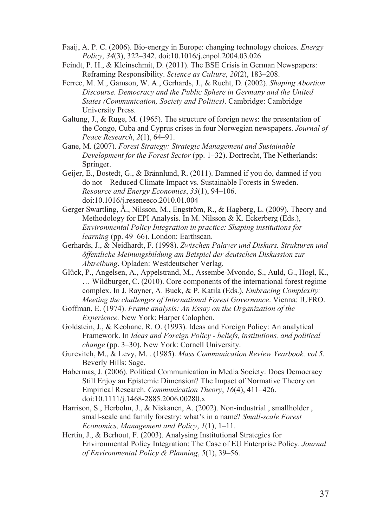- Faaij, A. P. C. (2006). Bio-energy in Europe: changing technology choices. *Energy Policy*, *34*(3), 322–342. doi:10.1016/j.enpol.2004.03.026
- Feindt, P. H., & Kleinschmit, D. (2011). The BSE Crisis in German Newspapers: Reframing Responsibility. *Science as Culture*, *20*(2), 183–208.
- Ferree, M. M., Gamson, W. A., Gerhards, J., & Rucht, D. (2002). *Shaping Abortion Discourse. Democracy and the Public Sphere in Germany and the United States (Communication, Society and Politics)*. Cambridge: Cambridge University Press.
- Galtung, J., & Ruge, M. (1965). The structure of foreign news: the presentation of the Congo, Cuba and Cyprus crises in four Norwegian newspapers. *Journal of Peace Research*, *2*(1), 64–91.
- Gane, M. (2007). *Forest Strategy: Strategic Management and Sustainable Development for the Forest Sector* (pp. 1–32). Dortrecht, The Netherlands: Springer.
- Geijer, E., Bostedt, G., & Brännlund, R. (2011). Damned if you do, damned if you do not—Reduced Climate Impact vs. Sustainable Forests in Sweden. *Resource and Energy Economics*, *33*(1), 94–106. doi:10.1016/j.reseneeco.2010.01.004
- Gerger Swartling, Å., Nilsson, M., Engström, R., & Hagberg, L. (2009). Theory and Methodology for EPI Analysis. In M. Nilsson & K. Eckerberg (Eds.), *Environmental Policy Integration in practice: Shaping institutions for learning* (pp. 49–66). London: Earthscan.
- Gerhards, J., & Neidhardt, F. (1998). *Zwischen Palaver und Diskurs. Strukturen und öffentliche Meinungsbildung am Beispiel der deutschen Diskussion zur Abtreibung*. Opladen: Westdeutscher Verlag.
- Glück, P., Angelsen, A., Appelstrand, M., Assembe-Mvondo, S., Auld, G., Hogl, K., … Wildburger, C. (2010). Core components of the international forest regime complex. In J. Rayner, A. Buck, & P. Katila (Eds.), *Embracing Complexity: Meeting the challenges of International Forest Governance*. Vienna: IUFRO.
- Goffman, E. (1974). *Frame analysis: An Essay on the Organization of the Experience.* New York: Harper Colophen.
- Goldstein, J., & Keohane, R. O. (1993). Ideas and Foreign Policy: An analytical Framework. In *Ideas and Foreign Policy - beliefs, institutions, and political change* (pp. 3–30). New York: Cornell University.
- Gurevitch, M., & Levy, M. . (1985). *Mass Communication Review Yearbook, vol 5*. Beverly Hills: Sage.
- Habermas, J. (2006). Political Communication in Media Society: Does Democracy Still Enjoy an Epistemic Dimension? The Impact of Normative Theory on Empirical Research. *Communication Theory*, *16*(4), 411–426. doi:10.1111/j.1468-2885.2006.00280.x
- Harrison, S., Herbohn, J., & Niskanen, A. (2002). Non-industrial , smallholder , small-scale and family forestry: what's in a name? *Small-scale Forest Economics, Management and Policy*, *1*(1), 1–11.
- Hertin, J., & Berhout, F. (2003). Analysing Institutional Strategies for Environmental Policy Integration: The Case of EU Enterprise Policy. *Journal of Environmental Policy & Planning*, *5*(1), 39–56.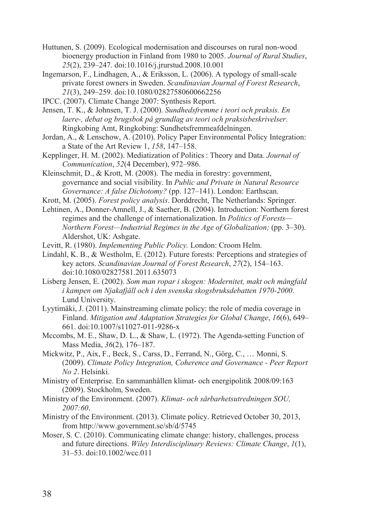- Huttunen, S. (2009). Ecological modernisation and discourses on rural non-wood bioenergy production in Finland from 1980 to 2005. *Journal of Rural Studies*, *25*(2), 239–247. doi:10.1016/j.jrurstud.2008.10.001
- Ingemarson, F., Lindhagen, A., & Eriksson, L. (2006). A typology of small-scale private forest owners in Sweden. *Scandinavian Journal of Forest Research*, *21*(3), 249–259. doi:10.1080/02827580600662256
- IPCC. (2007). Climate Change 2007: Synthesis Report.
- Jensen, T. K., & Johnsen, T. J. (2000). *Sundhedsfremme i teori och praksis. En laere-, debat og brugsbok på grundlag av teori och praksisbeskrivelser.* Ringkobing Amt, Ringkobing: Sundhetsfremmeafdelningen.
- Jordan, A., & Lenschow, A. (2010). Policy Paper Environmental Policy Integration: a State of the Art Review 1, *158*, 147–158.
- Kepplinger, H. M. (2002). Mediatization of Politics : Theory and Data. *Journal of Communication*, *52*(4 December), 972–986.
- Kleinschmit, D., & Krott, M. (2008). The media in forestry: government, governance and social visibility. In *Public and Private in Natural Resource Governance: A false Dichotomy?* (pp. 127–141). London: Earthscan.
- Krott, M. (2005). *Forest policy analysis*. Dorddrecht, The Netherlands: Springer.
- Lehtinen, A., Donner-Amnell, J., & Saether, B. (2004). Introduction: Northern forest regimes and the challenge of internationalization. In *Politics of Forests— Northern Forest—Industrial Regimes in the Age of Globalization;* (pp. 3–30). Aldershot, UK: Ashgate.
- Levitt, R. (1980). *Implementing Public Policy.* London: Croom Helm.
- Lindahl, K. B., & Westholm, E. (2012). Future forests: Perceptions and strategies of key actors. *Scandinavian Journal of Forest Research*, *27*(2), 154–163. doi:10.1080/02827581.2011.635073
- Lisberg Jensen, E. (2002). *Som man ropar i skogen: Modernitet, makt och mångfald i kampen om Njakafjäll och i den svenska skogsbruksdebatten 1970-2000*. Lund University.
- Lyytimäki, J. (2011). Mainstreaming climate policy: the role of media coverage in Finland. *Mitigation and Adaptation Strategies for Global Change*, *16*(6), 649– 661. doi:10.1007/s11027-011-9286-x
- Mccombs, M. E., Shaw, D. L., & Shaw, L. (1972). The Agenda-setting Function of Mass Media, *36*(2), 176–187.
- Mickwitz, P., Aix, F., Beck, S., Carss, D., Ferrand, N., Görg, C., … Monni, S. (2009). *Climate Policy Integration, Coherence and Governance - Peer Report No 2*. Helsinki.
- Ministry of Enterprise. En sammanhållen klimat- och energipolitik 2008/09:163 (2009). Stockholm, Sweden.
- Ministry of the Environment. (2007). *Klimat- och sårbarhetsutredningen SOU, 2007:60*.
- Ministry of the Environment. (2013). Climate policy. Retrieved October 30, 2013, from http://www.government.se/sb/d/5745
- Moser, S. C. (2010). Communicating climate change: history, challenges, process and future directions. *Wiley Interdisciplinary Reviews: Climate Change*, *1*(1), 31–53. doi:10.1002/wcc.011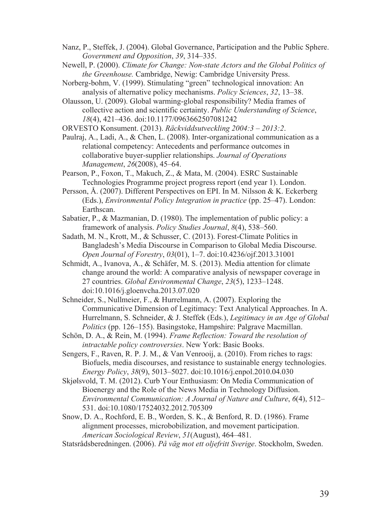- Nanz, P., Steffek, J. (2004). Global Governance, Participation and the Public Sphere. *Government and Opposition*, *39*, 314–335.
- Newell, P. (2000). *Climate for Change: Non-state Actors and the Global Politics of the Greenhouse.* Cambridge, Newig: Cambridge University Press.
- Norberg-bohm, V. (1999). Stimulating "green" technological innovation: An analysis of alternative policy mechanisms. *Policy Sciences*, *32*, 13–38.
- Olausson, U. (2009). Global warming-global responsibility? Media frames of collective action and scientific certainty. *Public Understanding of Science*, *18*(4), 421–436. doi:10.1177/0963662507081242

ORVESTO Konsument. (2013). *Räckviddsutveckling 2004:3 – 2013:2*.

- Paulraj, A., Ladi, A., & Chen, L. (2008). Inter-organizational communication as a relational competency: Antecedents and performance outcomes in collaborative buyer-supplier relationships. *Journal of Operations Management*, *26*(2008), 45–64.
- Pearson, P., Foxon, T., Makuch, Z., & Mata, M. (2004). ESRC Sustainable Technologies Programme project progress report (end year 1). London.
- Persson, Å. (2007). Different Perspectives on EPI. In M. Nilsson & K. Eckerberg (Eds.), *Environmental Policy Integration in practice* (pp. 25–47). London: Earthscan.
- Sabatier, P., & Mazmanian, D. (1980). The implementation of public policy: a framework of analysis. *Policy Studies Journal*, *8*(4), 538–560.
- Sadath, M. N., Krott, M., & Schusser, C. (2013). Forest-Climate Politics in Bangladesh's Media Discourse in Comparison to Global Media Discourse. *Open Journal of Forestry*, *03*(01), 1–7. doi:10.4236/ojf.2013.31001
- Schmidt, A., Ivanova, A., & Schäfer, M. S. (2013). Media attention for climate change around the world: A comparative analysis of newspaper coverage in 27 countries. *Global Environmental Change*, *23*(5), 1233–1248. doi:10.1016/j.gloenvcha.2013.07.020
- Schneider, S., Nullmeier, F., & Hurrelmann, A. (2007). Exploring the Communicative Dimension of Legitimacy: Text Analytical Approaches. In A. Hurrelmann, S. Schneider, & J. Steffek (Eds.), *Legitimacy in an Age of Global Politics* (pp. 126–155). Basingstoke, Hampshire: Palgrave Macmillan.
- Schön, D. A., & Rein, M. (1994). *Frame Reflection: Toward the resolution of intractable policy controversies*. New York: Basic Books.
- Sengers, F., Raven, R. P. J. M., & Van Venrooij, a. (2010). From riches to rags: Biofuels, media discourses, and resistance to sustainable energy technologies. *Energy Policy*, *38*(9), 5013–5027. doi:10.1016/j.enpol.2010.04.030
- Skjølsvold, T. M. (2012). Curb Your Enthusiasm: On Media Communication of Bioenergy and the Role of the News Media in Technology Diffusion. *Environmental Communication: A Journal of Nature and Culture*, *6*(4), 512– 531. doi:10.1080/17524032.2012.705309
- Snow, D. A., Rochford, E. B., Worden, S. K., & Benford, R. D. (1986). Frame alignment processes, microbobilization, and movement participation. *American Sociological Review*, *51*(August), 464–481.
- Statsrådsberedningen. (2006). *På väg mot ett oljefritt Sverige*. Stockholm, Sweden.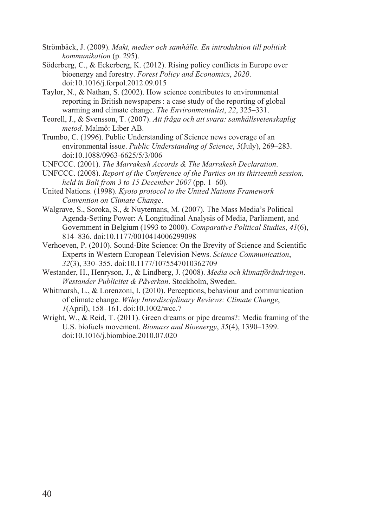Strömbäck, J. (2009). *Makt, medier och samhälle. En introduktion till politisk kommunikation* (p. 295).

Söderberg, C., & Eckerberg, K. (2012). Rising policy conflicts in Europe over bioenergy and forestry. *Forest Policy and Economics*, *2020*. doi:10.1016/j.forpol.2012.09.015

Taylor, N., & Nathan, S. (2002). How science contributes to environmental reporting in British newspapers: a case study of the reporting of global warming and climate change. *The Environmentalist*, *22*, 325–331.

- Teorell, J., & Svensson, T. (2007). *Att fråga och att svara: samhällsvetenskaplig metod*. Malmö: Liber AB.
- Trumbo, C. (1996). Public Understanding of Science news coverage of an environmental issue. *Public Understanding of Science*, *5*(July), 269–283. doi:10.1088/0963-6625/5/3/006

UNFCCC. (2001). *The Marrakesh Accords & The Marrakesh Declaration*.

UNFCCC. (2008). *Report of the Conference of the Parties on its thirteenth session, held in Bali from 3 to 15 December 2007* (pp. 1–60).

United Nations. (1998). *Kyoto protocol to the United Nations Framework Convention on Climate Change*.

Walgrave, S., Soroka, S., & Nuytemans, M. (2007). The Mass Media's Political Agenda-Setting Power: A Longitudinal Analysis of Media, Parliament, and Government in Belgium (1993 to 2000). *Comparative Political Studies*, *41*(6), 814–836. doi:10.1177/0010414006299098

Verhoeven, P. (2010). Sound-Bite Science: On the Brevity of Science and Scientific Experts in Western European Television News. *Science Communication*, *32*(3), 330–355. doi:10.1177/1075547010362709

Westander, H., Henryson, J., & Lindberg, J. (2008). *Media och klimatförändringen*. *Westander Publicitet & Påverkan*. Stockholm, Sweden.

Whitmarsh, L., & Lorenzoni, I. (2010). Perceptions, behaviour and communication of climate change. *Wiley Interdisciplinary Reviews: Climate Change*, *1*(April), 158–161. doi:10.1002/wcc.7

Wright, W., & Reid, T. (2011). Green dreams or pipe dreams?: Media framing of the U.S. biofuels movement. *Biomass and Bioenergy*, *35*(4), 1390–1399. doi:10.1016/j.biombioe.2010.07.020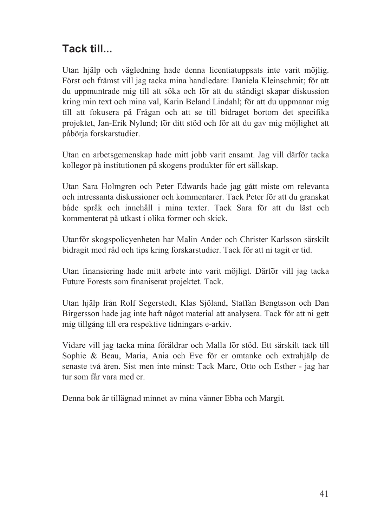# **Tack till...**

Utan hjälp och vägledning hade denna licentiatuppsats inte varit möjlig. Först och främst vill jag tacka mina handledare: Daniela Kleinschmit; för att du uppmuntrade mig till att söka och för att du ständigt skapar diskussion kring min text och mina val, Karin Beland Lindahl; för att du uppmanar mig till att fokusera på Frågan och att se till bidraget bortom det specifika projektet, Jan-Erik Nylund; för ditt stöd och för att du gav mig möjlighet att påbörja forskarstudier.

Utan en arbetsgemenskap hade mitt jobb varit ensamt. Jag vill därför tacka kollegor på institutionen på skogens produkter för ert sällskap.

Utan Sara Holmgren och Peter Edwards hade jag gått miste om relevanta och intressanta diskussioner och kommentarer. Tack Peter för att du granskat både språk och innehåll i mina texter. Tack Sara för att du läst och kommenterat på utkast i olika former och skick.

Utanför skogspolicyenheten har Malin Ander och Christer Karlsson särskilt bidragit med råd och tips kring forskarstudier. Tack för att ni tagit er tid.

Utan finansiering hade mitt arbete inte varit möjligt. Därför vill jag tacka Future Forests som finaniserat projektet. Tack.

Utan hjälp från Rolf Segerstedt, Klas Sjöland, Staffan Bengtsson och Dan Birgersson hade jag inte haft något material att analysera. Tack för att ni gett mig tillgång till era respektive tidningars e-arkiv.

Vidare vill jag tacka mina föräldrar och Malla för stöd. Ett särskilt tack till Sophie & Beau, Maria, Ania och Eve för er omtanke och extrahjälp de senaste två åren. Sist men inte minst: Tack Marc, Otto och Esther - jag har tur som får vara med er.

Denna bok är tillägnad minnet av mina vänner Ebba och Margit.